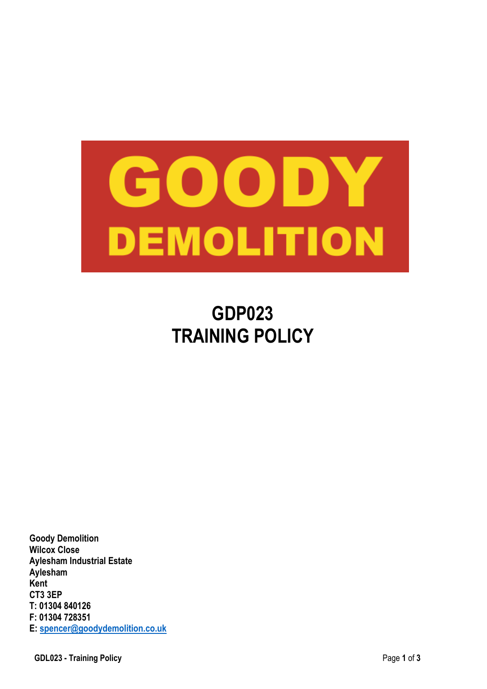

# **GDP023 TRAINING POLICY**

**Goody Demolition Wilcox Close Aylesham Industrial Estate Aylesham Kent CT3 3EP T: 01304 840126 F: 01304 728351 E: spencer@goodydemolition.co.uk**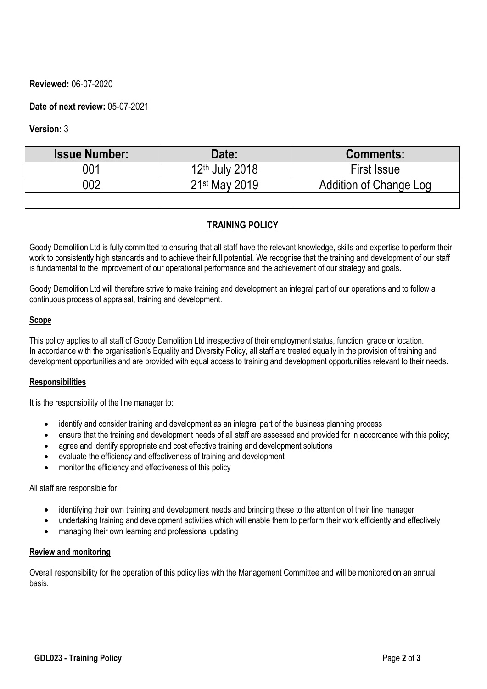# **Reviewed:** 06-07-2020

# **Date of next review:** 05-07-2021

# **Version:** 3

| <b>Issue Number:</b> | Date:                      | <b>Comments:</b>       |
|----------------------|----------------------------|------------------------|
| 001                  | 12 <sup>th</sup> July 2018 | <b>First Issue</b>     |
| 002                  | 21 <sup>st</sup> May 2019  | Addition of Change Log |
|                      |                            |                        |

# **TRAINING POLICY**

Goody Demolition Ltd is fully committed to ensuring that all staff have the relevant knowledge, skills and expertise to perform their work to consistently high standards and to achieve their full potential. We recognise that the training and development of our staff is fundamental to the improvement of our operational performance and the achievement of our strategy and goals.

Goody Demolition Ltd will therefore strive to make training and development an integral part of our operations and to follow a continuous process of appraisal, training and development.

#### **Scope**

This policy applies to all staff of Goody Demolition Ltd irrespective of their employment status, function, grade or location. In accordance with the organisation's Equality and Diversity Policy, all staff are treated equally in the provision of training and development opportunities and are provided with equal access to training and development opportunities relevant to their needs.

#### **Responsibilities**

It is the responsibility of the line manager to:

- identify and consider training and development as an integral part of the business planning process
- ensure that the training and development needs of all staff are assessed and provided for in accordance with this policy;
- agree and identify appropriate and cost effective training and development solutions
- evaluate the efficiency and effectiveness of training and development
- monitor the efficiency and effectiveness of this policy

#### All staff are responsible for:

- identifying their own training and development needs and bringing these to the attention of their line manager
- undertaking training and development activities which will enable them to perform their work efficiently and effectively
- managing their own learning and professional updating

#### **Review and monitoring**

Overall responsibility for the operation of this policy lies with the Management Committee and will be monitored on an annual basis.